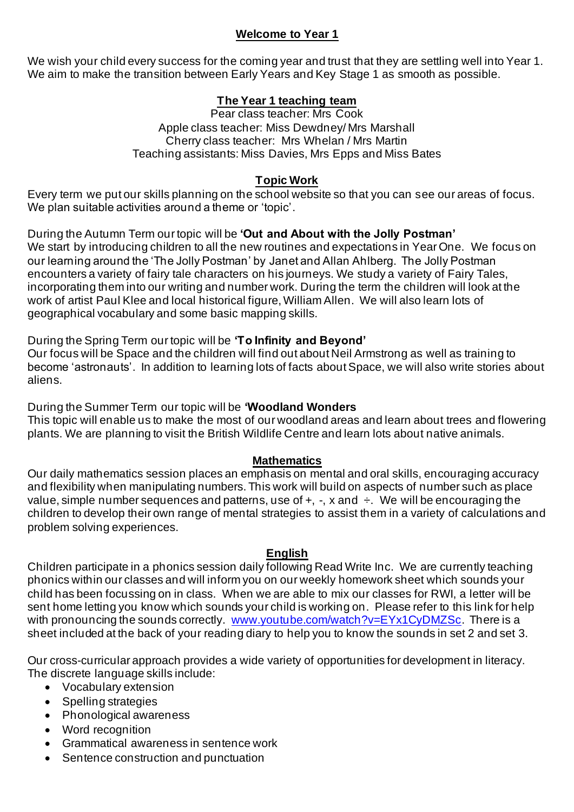### **Welcome to Year 1**

We wish your child every success for the coming year and trust that they are settling well into Year 1. We aim to make the transition between Early Years and Key Stage 1 as smooth as possible.

# **The Year 1 teaching team**

Pear class teacher: Mrs Cook Apple class teacher: Miss Dewdney/ Mrs Marshall Cherry class teacher: Mrs Whelan / Mrs Martin Teaching assistants: Miss Davies, Mrs Epps and Miss Bates

# **Topic Work**

Every term we put our skills planning on the school website so that you can see our areas of focus. We plan suitable activities around a theme or 'topic'.

During the Autumn Term our topic will be **'Out and About with the Jolly Postman'** We start by introducing children to all the new routines and expectations in Year One. We focus on our learning around the 'The Jolly Postman' by Janet and Allan Ahlberg. The Jolly Postman encounters a variety of fairy tale characters on his journeys. We study a variety of Fairy Tales, incorporating them into our writing and number work. During the term the children will look at the work of artist Paul Klee and local historical figure, William Allen. We will also learn lots of geographical vocabulary and some basic mapping skills.

During the Spring Term our topic will be **'To Infinity and Beyond'**

Our focus will be Space and the children will find out about Neil Armstrong as well as training to become 'astronauts'. In addition to learning lots of facts about Space, we will also write stories about aliens.

During the Summer Term our topic will be **'Woodland Wonders** This topic will enable us to make the most of our woodland areas and learn about trees and flowering plants. We are planning to visit the British Wildlife Centre and learn lots about native animals.

## **Mathematics**

Our daily mathematics session places an emphasis on mental and oral skills, encouraging accuracy and flexibility when manipulating numbers. This work will build on aspects of number such as place value, simple number sequences and patterns, use of  $+$ ,  $-$ ,  $\times$  and  $\div$ . We will be encouraging the children to develop their own range of mental strategies to assist them in a variety of calculations and problem solving experiences.

## **English**

Children participate in a phonics session daily following Read Write Inc. We are currently teaching phonics within our classes and will inform you on our weekly homework sheet which sounds your child has been focussing on in class. When we are able to mix our classes for RWI, a letter will be sent home letting you know which sounds your child is working on. Please refer to this link for help with pronouncing the sounds correctly. [www.youtube.com/watch?v=EYx1CyDMZSc](http://www.youtube.com/watch?v=EYx1CyDMZSc). There is a sheet included at the back of your reading diary to help you to know the sounds in set 2 and set 3.

Our cross-curricular approach provides a wide variety of opportunities for development in literacy. The discrete language skills include:

- Vocabulary extension
- Spelling strategies
- Phonological awareness
- Word recognition
- Grammatical awareness in sentence work
- Sentence construction and punctuation